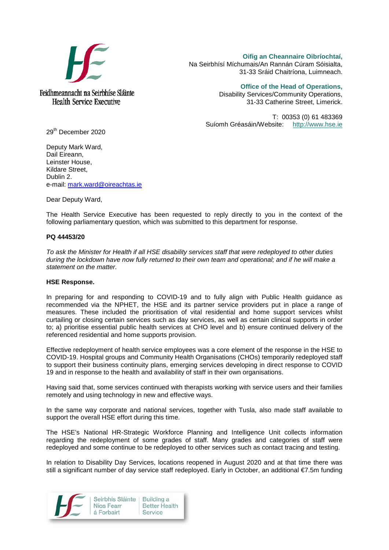

Feidhmeannacht na Seirbhíse Sláinte **Health Service Executive** 

**Oifig an Cheannaire Oibríochtaí,**  Na Seirbhísí Míchumais/An Rannán Cúram Sóisialta, 31-33 Sráid Chaitríona, Luimneach.

> **Office of the Head of Operations,** Disability Services/Community Operations, 31-33 Catherine Street, Limerick.

T: 00353 (0) 61 483369 Suíomh Gréasáin/Website: [http://www.hse.ie](http://www.hse.ie/)

29th December 2020

Deputy Mark Ward, Dail Eireann, Leinster House, Kildare Street, Dublin 2. e-mail: [mark.ward@oireachtas.ie](mailto:mark.ward@oireachtas.ie)

Dear Deputy Ward,

The Health Service Executive has been requested to reply directly to you in the context of the following parliamentary question, which was submitted to this department for response.

## **PQ 44453/20**

*To ask the Minister for Health if all HSE disability services staff that were redeployed to other duties during the lockdown have now fully returned to their own team and operational; and if he will make a statement on the matter.*

## **HSE Response.**

In preparing for and responding to COVID-19 and to fully align with Public Health guidance as recommended via the NPHET, the HSE and its partner service providers put in place a range of measures. These included the prioritisation of vital residential and home support services whilst curtailing or closing certain services such as day services, as well as certain clinical supports in order to; a) prioritise essential public health services at CHO level and b) ensure continued delivery of the referenced residential and home supports provision.

Effective redeployment of health service employees was a core element of the response in the HSE to COVID-19. Hospital groups and Community Health Organisations (CHOs) temporarily redeployed staff to support their business continuity plans, emerging services developing in direct response to COVID 19 and in response to the health and availability of staff in their own organisations.

Having said that, some services continued with therapists working with service users and their families remotely and using technology in new and effective ways.

In the same way corporate and national services, together with Tusla, also made staff available to support the overall HSE effort during this time.

The HSE's National HR-Strategic Workforce Planning and Intelligence Unit collects information regarding the redeployment of some grades of staff. Many grades and categories of staff were redeployed and some continue to be redeployed to other services such as contact tracing and testing.

In relation to Disability Day Services, locations reopened in August 2020 and at that time there was still a significant number of day service staff redeployed. Early in October, an additional €7.5m funding